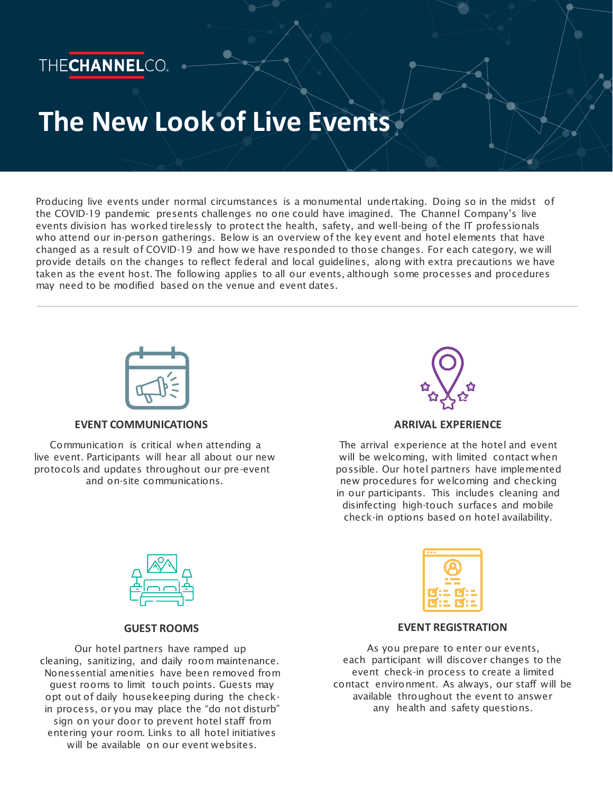

# **The New Look of Live Events**

Producing live events under normal circumstances is a monumental undertaking. Doing so in the midst of the COVID-19 pandemic presents challenges no one could have imagined. The Channel Company's live events division has worked tirelessly to protect the health, safety, and well-being of the IT professionals who attend our in-person gatherings. Below is an overview of the key event and hotel elements that have changed as a result of COVID-19 and how we have responded to those changes. For each category, we will provide details on the changes to reflect federal and local guidelines, along with extra precautions we have taken as the event host. The following applies to all our events, although some processes and procedures may need to be modified based on the venue and event dates.



### **EVENT COMMUNICATIONS**

Communication is critical when attending a live event. Participants will hear all about our new protocols and updates throughout our pre-event and on-site communications.



#### **ARRIVAL EXPERIENCE**

The arrival experience at the hotel and event will be welcoming, with limited contact when possible. Our hotel partners have implemented new procedures for welcoming and checking in our participants. This includes cleaning and disinfecting high-touch surfaces and mobile check-in options based on hotel availability.



#### **GUEST ROOMS**

Our hotel partners have ramped up cleaning, sanitizing, and daily room maintenance. Nonessential amenities have been removed from guest rooms to limit touch points. Guests may opt out of daily housekeeping during the checkin process, or you may place the "do not disturb" sign on your door to prevent hotel staff from entering your room. Links to all hotel initiatives will be available on our event websites.



### **EVENT REGISTRATION**

As you prepare to enter our events, each participant will discover changes to the event check-in process to create a limited contact environment. As always, our staff will be available throughout the event to answer any health and safety questions.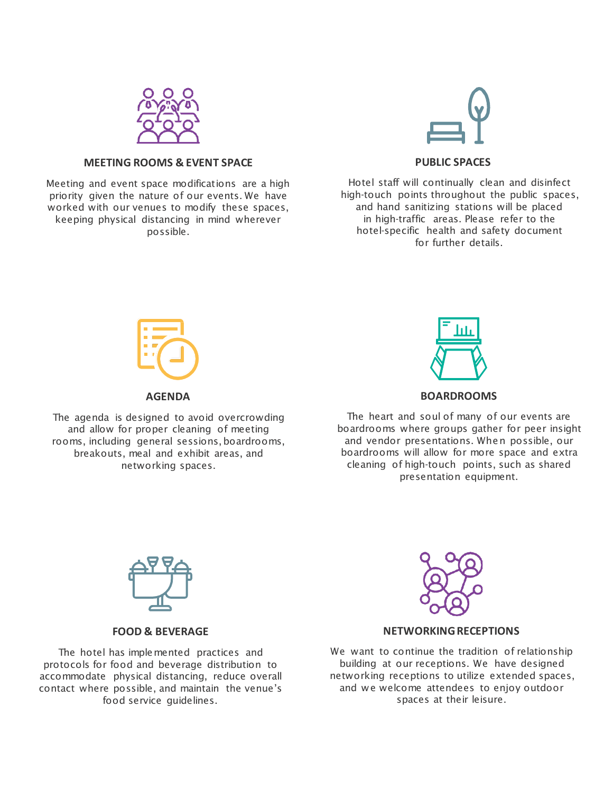

### **MEETING ROOMS & EVENT SPACE**

Meeting and event space modifications are a high priority given the nature of our events. We have worked with our venues to modify these spaces, keeping physical distancing in mind wherever possible.



Hotel staff will continually clean and disinfect high-touch points throughout the public spaces, and hand sanitizing stations will be placed in high-traffic areas. Please refer to the hotel-specific health and safety document for further details.



### **AGENDA**

The agenda is designed to avoid overcrowding and allow for proper cleaning of meeting rooms, including general sessions, boardrooms, breakouts, meal and exhibit areas, and networking spaces.



## **BOARDROOMS**

The heart and soul of many of our events are boardrooms where groups gather for peer insight and vendor presentations. When possible, our boardrooms will allow for more space and extra cleaning of high-touch points, such as shared presentation equipment.



**FOOD & BEVERAGE**

The hotel has implemented practices and protocols for food and beverage distribution to accommodate physical distancing, reduce overall contact where possible, and maintain the venue's food service guidelines.



### **NETWORKINGRECEPTIONS**

We want to continue the tradition of relationship building at our receptions. We have designed networking receptions to utilize extended spaces, and we welcome attendees to enjoy outdoor spaces at their leisure.